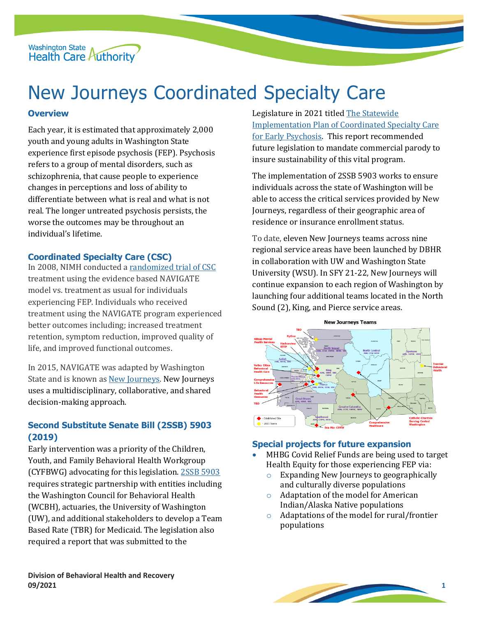Washington State<br>Health Care Authority

# New Journeys Coordinated Specialty Care

# **Overview**

Each year, it is estimated that approximately 2,000 youth and young adults in Washington State experience first episode psychosis (FEP). Psychosis refers to a group of mental disorders, such as schizophrenia, that cause people to experience changes in perceptions and loss of ability to differentiate between what is real and what is not real. The longer untreated psychosis persists, the worse the outcomes may be throughout an individual's lifetime.

# **Coordinated Specialty Care (CSC)**

In 2008, NIMH conducted [a randomized trial of CSC](https://www.nimh.nih.gov/health/topics/schizophrenia/raise/what-is-coordinated-specialty-care-csc) treatment using the evidence based NAVIGATE model vs. treatment as usual for individuals experiencing FEP. Individuals who received treatment using the NAVIGATE program experienced better outcomes including; increased treatment retention, symptom reduction, improved quality of life, and improved functional outcomes.

In 2015, NAVIGATE was adapted by Washington State and is known as [New Journeys.](https://www.newjourneyswashington.org/) New Journeys uses a multidisciplinary, collaborative, and shared decision-making approach.

# **Second Substitute Senate Bill (2SSB) 5903 (2019)**

Early intervention was a priority of the Children, Youth, and Family Behavioral Health Workgroup (CYFBWG) advocating for this legislation. [2SSB 5903](https://lawfilesext.leg.wa.gov/biennium/2019-20/Pdf/Bills/Session%20Laws/Senate/5903-S2.SL.pdf) requires strategic partnership with entities including the Washington Council for Behavioral Health (WCBH), actuaries, the University of Washington (UW), and additional stakeholders to develop a Team Based Rate (TBR) for Medicaid. The legislation also required a report that was submitted to the

Legislature in 2021 titled [The Statewide](https://app.leg.wa.gov/ReportsToTheLegislature/Home/GetPDF?fileName=HCA%20Report%20-%20Coordinated%20Specialty%20Care%20for%20First%20Episode%20Psychosis_71be4d6c-a572-469c-8a10-c5acc37e774a.pdf)  [Implementation Plan of Coordinated Specialty Care](https://app.leg.wa.gov/ReportsToTheLegislature/Home/GetPDF?fileName=HCA%20Report%20-%20Coordinated%20Specialty%20Care%20for%20First%20Episode%20Psychosis_71be4d6c-a572-469c-8a10-c5acc37e774a.pdf)  [for Early Psychosis.](https://app.leg.wa.gov/ReportsToTheLegislature/Home/GetPDF?fileName=HCA%20Report%20-%20Coordinated%20Specialty%20Care%20for%20First%20Episode%20Psychosis_71be4d6c-a572-469c-8a10-c5acc37e774a.pdf) This report recommended future legislation to mandate commercial parody to insure sustainability of this vital program.

The implementation of 2SSB 5903 works to ensure individuals across the state of Washington will be able to access the critical services provided by New Journeys, regardless of their geographic area of residence or insurance enrollment status.

To date, eleven New Journeys teams across nine regional service areas have been launched by DBHR in collaboration with UW and Washington State University (WSU). In SFY 21-22, New Journeys will continue expansion to each region of Washington by launching four additional teams located in the North Sound (2), King, and Pierce service areas.



# **Special projects for future expansion**

- MHBG Covid Relief Funds are being used to target Health Equity for those experiencing FEP via:
	- o Expanding New Journeys to geographically and culturally diverse populations
	- o Adaptation of the model for American Indian/Alaska Native populations
	- o Adaptations of the model for rural/frontier populations